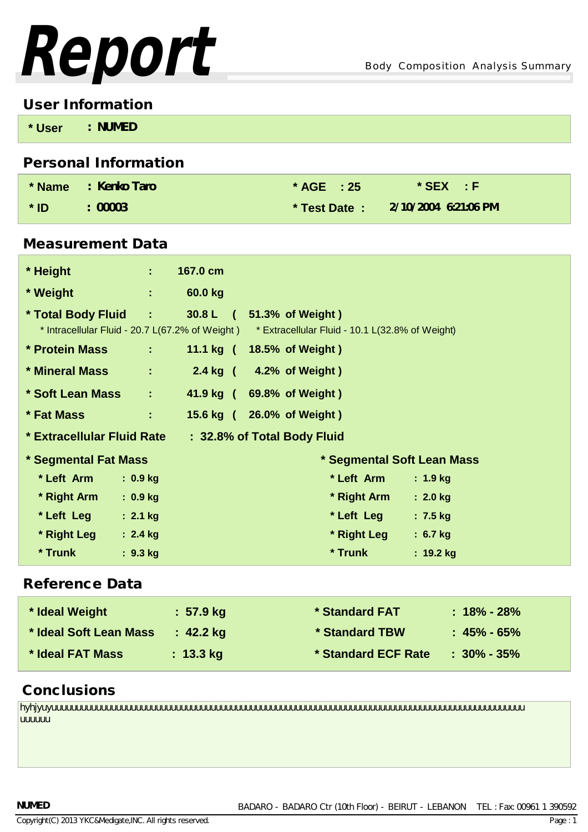

### **User Information**

| * User | <b>NUMED</b> |  |  |
|--------|--------------|--|--|
|        |              |  |  |

# **Personal Information**

|        | * Name : Kenko Taro | $*$ AGE $: 25$ | $*$ SEX $\rightarrow$ F             |
|--------|---------------------|----------------|-------------------------------------|
| $*$ ID | : 00003             |                | * Test Date: $2/10/2004$ 6:21:06 PM |

## **Measurement Data**

| * Height                   | $\mathcal{O}(\mathcal{O}_\mathcal{O})$ | 167.0 cm |                                                                                                                                                  |             |
|----------------------------|----------------------------------------|----------|--------------------------------------------------------------------------------------------------------------------------------------------------|-------------|
| * Weight                   | $\mathbf{1}$ and $\mathbf{1}$          | 60.0 kg  |                                                                                                                                                  |             |
|                            |                                        |          | * Total Body Fluid : 30.8 L (51.3% of Weight)<br>* Intracellular Fluid - 20.7 L(67.2% of Weight) * Extracellular Fluid - 10.1 L(32.8% of Weight) |             |
| * Protein Mass             | $\mathcal{L}^{\text{max}}$             |          | 11.1 kg ( 18.5% of Weight)                                                                                                                       |             |
| * Mineral Mass and Mass    | ÷.                                     |          | 2.4 kg ( 4.2% of Weight)                                                                                                                         |             |
| * Soft Lean Mass           | $\mathcal{L}^{\text{max}}$             |          | 41.9 kg ( 69.8% of Weight)                                                                                                                       |             |
| * Fat Mass                 | $\mathbb{Z}^n$ . $\mathbb{Z}^n$        |          | 15.6 kg ( 26.0% of Weight)                                                                                                                       |             |
| * Extracellular Fluid Rate |                                        |          | : 32.8% of Total Body Fluid                                                                                                                      |             |
| * Segmental Fat Mass       |                                        |          | * Segmental Soft Lean Mass                                                                                                                       |             |
| * Left Arm                 | : 0.9 kg                               |          | * Left Arm                                                                                                                                       | : 1.9 kg    |
| * Right Arm                | $: 0.9$ kg                             |          | * Right Arm                                                                                                                                      | $: 2.0$ kg  |
| * Left Leg                 | $: 2.1$ kg                             |          | * Left Leg                                                                                                                                       | $: 7.5$ kg  |
| * Right Leg                | $: 2.4$ kg                             |          | * Right Leg                                                                                                                                      | $: 6.7$ kg  |
| * Trunk                    | $: 9.3$ kg                             |          | * Trunk                                                                                                                                          | $: 19.2$ kg |

# **Reference Data**

| * Ideal Weight         | : 57.9 kg           | * Standard FAT      | $: 18\%$ - 28%    |
|------------------------|---------------------|---------------------|-------------------|
| * Ideal Soft Lean Mass | $: 42.2 \text{ kg}$ | * Standard TBW      | $: 45\%$ - $65\%$ |
| * Ideal FAT Mass       | $: 13.3 \text{ kg}$ | * Standard ECF Rate | $: 30\%$ - 35%    |

# **Conclusions**

hyhjyuyuuuuuuuuuuuuuuuuuuuuuuuuuuuuuuuuuuuuuuuuuuuuuuuuuuuuuuuuuuuuuuuuuuuuuuuuuuuuuuuuuuuuuuuuuuuuuuu uuuuuu

#### **NUMED**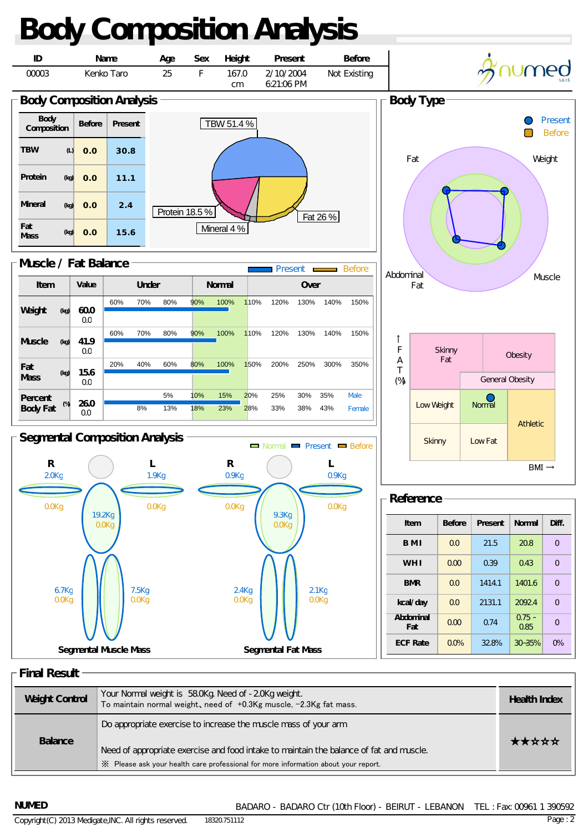

**Final Result**

| <b>Weight Control</b> | Your Normal weight is 58.0Kg. Need of -2.0Kg weight.<br>To maintain normal weight, need of +0.3Kg muscle, -2.3Kg fat mass.                                                                                                                       | <b>Health Index</b> |
|-----------------------|--------------------------------------------------------------------------------------------------------------------------------------------------------------------------------------------------------------------------------------------------|---------------------|
| <b>Balance</b>        | Do appropriate exercise to increase the muscle mass of your arm<br>Need of appropriate exercise and food intake to maintain the balance of fat and muscle.<br>X Please ask your health care professional for more information about your report. | *****               |

**NUMED** 

BADARO - BADARO Ctr (10th Floor) - BEIRUT - LEBANON TEL : Fax: 00961 1 390592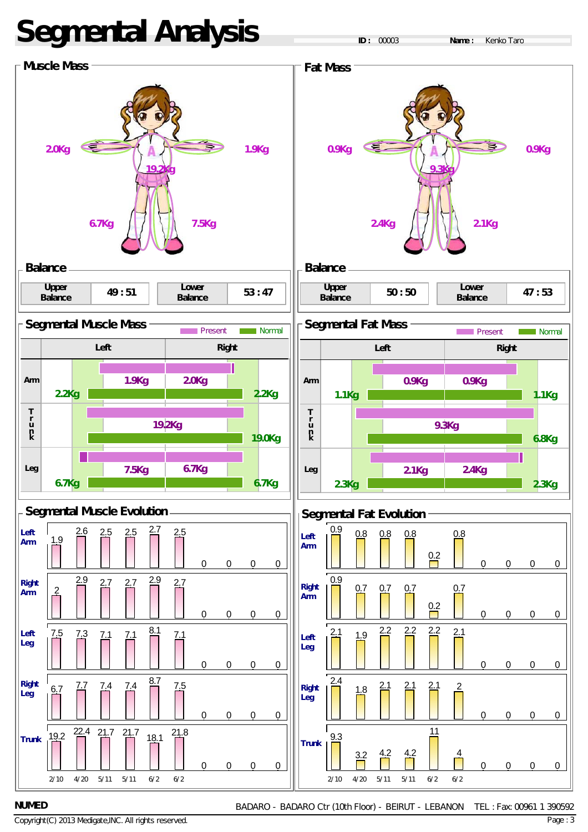# **Segmental Analysis**



BADARO - BADARO Ctr (10th Floor) - BEIRUT - LEBANON TEL : Fax: 00961 1 390592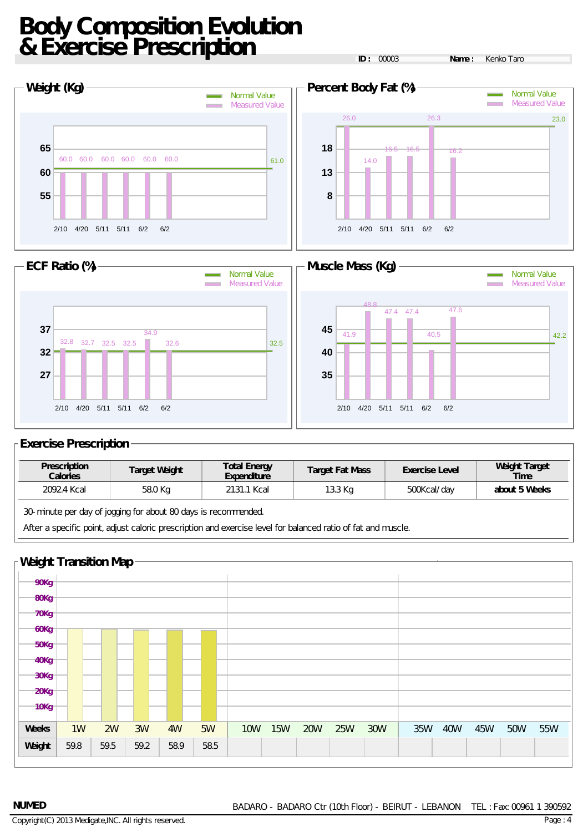# **Body Composition Evolution & Exercise Prescription**

**ID :** 00003 **Name :** Kenko Taro





#### **Exercise Prescription**

| <b>Prescription</b><br><b>Calories</b> | <b>Target Weight</b> | <b>Total Energy</b><br><b>Expenditure</b> | <b>Target Fat Mass</b> | <b>Exercise Level</b> | <b>Weight Target</b><br>Time |
|----------------------------------------|----------------------|-------------------------------------------|------------------------|-----------------------|------------------------------|
| 2092.4 Kcal                            | 58.0 Kg              | 2131.1 Kcal                               | 13.3 Kg                | 500Kcal/day           | about 5 Weeks                |
| $\sim$ $\sim$ $\sim$                   | $\sim$ $\sim$ $\sim$ |                                           |                        |                       |                              |

30-minute per day of jogging for about 80 days is recommended.

After a specific point, adjust caloric prescription and exercise level for balanced ratio of fat and muscle.

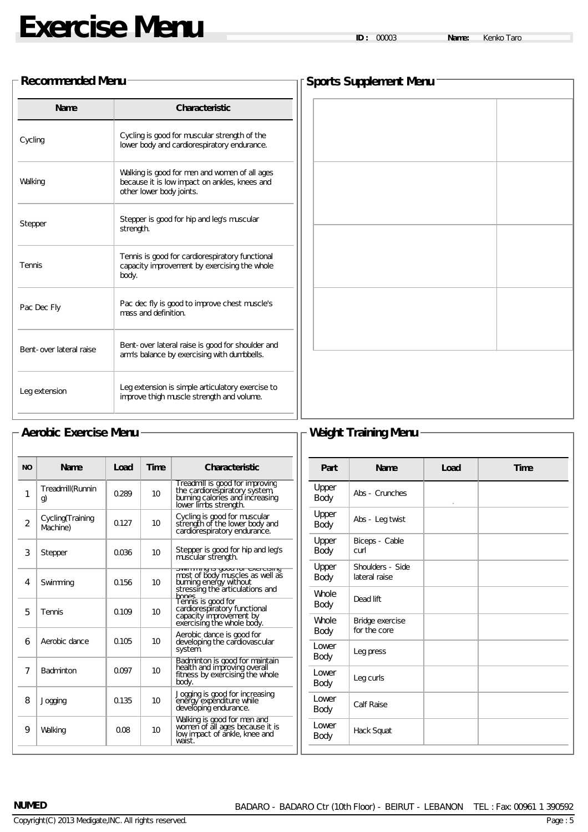#### **Recommended Menu**

| <b>Name</b>             | <b>Characteristic</b>                                                                                                      |
|-------------------------|----------------------------------------------------------------------------------------------------------------------------|
| Cycling                 | Cycling is good for muscular strength of the<br>lower body and cardiorespiratory endurance.                                |
| Walking                 | Walking is good for men and women of all ages<br>because it is low impact on ankles, knees and<br>other lower body joints. |
| Stepper                 | Stepper is good for hip and leg's muscular<br>strength.                                                                    |
| Tennis                  | Tennis is good for cardiorespiratory functional<br>capacity improvement by exercising the whole<br>body.                   |
| Pac Dec Fly             | Pac dec fly is good to improve chest muscle's<br>mass and definition.                                                      |
| Bent-over lateral raise | Bent-over lateral raise is good for shoulder and<br>arm's balance by exercising with dumbbells.                            |
| Leg extension           | Leg extension is simple articulatory exercise to<br>improve thigh muscle strength and volume.                              |

| Sports Supplement Menu $^+$ |  |  |  |  |
|-----------------------------|--|--|--|--|
|                             |  |  |  |  |
|                             |  |  |  |  |
|                             |  |  |  |  |
|                             |  |  |  |  |
|                             |  |  |  |  |
|                             |  |  |  |  |
|                             |  |  |  |  |
|                             |  |  |  |  |
|                             |  |  |  |  |
|                             |  |  |  |  |
|                             |  |  |  |  |
|                             |  |  |  |  |
|                             |  |  |  |  |
|                             |  |  |  |  |
|                             |  |  |  |  |
|                             |  |  |  |  |
|                             |  |  |  |  |
|                             |  |  |  |  |
|                             |  |  |  |  |
|                             |  |  |  |  |
|                             |  |  |  |  |

## **Aerobic Exercise Menu Weight Training Menu**

| <b>NO</b>      | <b>Name</b>                   | Load  | <b>Time</b> | <b>Characteristic</b>                                                                                                        |
|----------------|-------------------------------|-------|-------------|------------------------------------------------------------------------------------------------------------------------------|
| 1              | Treadmill(Runnin<br>g)        | 0.289 | 10          | Treadmill is good for improving<br>the cardiorespiratory system,<br>burning calories and increasing<br>lower limbs strength. |
| $\overline{2}$ | Cycling (Training<br>Machine) | 0.127 | 10          | Cycling is good for muscular<br>strength of the lower body and<br>cardiorespiratory endurance.                               |
| 3              | Stepper                       | 0.036 | 10          | Stepper is good for hip and leg's<br>muscular strength.                                                                      |
| 4              | Swimming                      | 0.156 | 10          | most of body muscles as well as<br>burning energy without<br>stressing the articulations and<br>hones                        |
| 5              | Tennis                        | 0.109 | 10          | Tennis is good for<br>cardiorespiratory functional<br>capacity improvement by<br>exercising the whole body.                  |
| 6              | Aerobic dance                 | 0.105 | 10          | Aerobic dance is good for<br>developing the cardiovascular<br>system.                                                        |
| 7              | <b>Badminton</b>              | 0.097 | 10          | Badminton is good for maintain<br>health and improving overall<br>fitness by exercising the whole<br>body.                   |
| 8              | Jogging                       | 0.135 | 10          | Jogging is good for increasing<br>eněřgy expenditure while<br>develóping endurance.                                          |
| 9              | Walking                       | 0.08  | 10          | Walking is good for men and<br>women of all ages because it is<br>low impact of ankle, knee and<br>waist                     |

| Part                 | <b>Name</b>                       | Load    | <b>Time</b> |
|----------------------|-----------------------------------|---------|-------------|
| Upper<br>Body        | Abs - Crunches                    | $\circ$ |             |
| Upper<br>Body        | Abs - Leg twist                   |         |             |
| Upper<br>Body        | Biceps - Cable<br>curl            |         |             |
| Upper<br>Body        | Shoulders - Side<br>lateral raise |         |             |
| Whole<br>Body        | Dead lift                         |         |             |
| <b>Whole</b><br>Body | Bridge exercise<br>for the core   |         |             |
| Lower<br>Body        | Leg press                         |         |             |
| Lower<br>Body        | Leg curls                         |         |             |
| I ower<br>Body       | Calf Raise                        |         |             |
| Lower<br><b>Body</b> | Hack Squat                        |         |             |

#### **NUMED**

Page : 5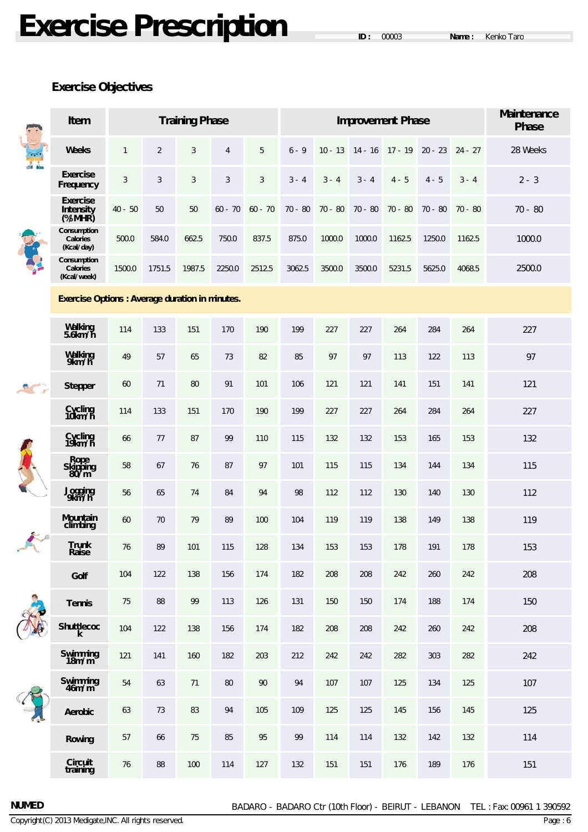# **Exercise Prescription**

## **Exercise Objectives**

|        | <b>Training Phase</b><br>Item                          |              |                |            |                | <b>Improvement Phase</b> |           |           |           |                   | <b>Maintenance</b><br><b>Phase</b> |           |           |
|--------|--------------------------------------------------------|--------------|----------------|------------|----------------|--------------------------|-----------|-----------|-----------|-------------------|------------------------------------|-----------|-----------|
| de des | <b>Weeks</b>                                           | $\mathbf{1}$ | $\overline{2}$ | $\sqrt{3}$ | $\overline{4}$ | 5                        | $6 - 9$   | $10 - 13$ |           | $14 - 16$ 17 - 19 | $20 - 23$                          | $24 - 27$ | 28 Weeks  |
|        | <b>Exercise</b><br>Frequency                           | $\sqrt{3}$   | $\sqrt{3}$     | $\sqrt{3}$ | $\mathfrak{Z}$ | $\mathfrak{Z}$           | $3 - 4$   | $3 - 4$   | $3 - 4$   | $4 - 5$           | $4 - 5$                            | $3 - 4$   | $2 - 3$   |
|        | <b>Exercise</b><br><b>Intensity</b><br>$(\frac{M}{N})$ | $40 - 50$    | 50             | 50         | $60 - 70$      | $60 - 70$                | $70 - 80$ | $70 - 80$ | $70 - 80$ | $70 - 80$         | 70 - 80                            | $70 - 80$ | $70 - 80$ |
|        | Consumption<br><b>Calories</b><br>(Kcal/day)           | 500.0        | 584.0          | 662.5      | 750.0          | 837.5                    | 875.0     | 1000.0    | 1000.0    | 1162.5            | 1250.0                             | 1162.5    | 1000.0    |
|        | Consumption<br><b>Calories</b><br>(Kcal/week)          | 1500.0       | 1751.5         | 1987.5     | 2250.0         | 2512.5                   | 3062.5    | 3500.0    | 3500.0    | 5231.5            | 5625.0                             | 4068.5    | 2500.0    |
|        | <b>Exercise Options: Average duration in minutes.</b>  |              |                |            |                |                          |           |           |           |                   |                                    |           |           |
|        | Walking<br>5.6km/h                                     | 114          | 133            | 151        | 170            | 190                      | 199       | 227       | 227       | 264               | 284                                | 264       | 227       |
|        | Walking<br>9km/h                                       | 49           | 57             | 65         | 73             | 82                       | 85        | 97        | 97        | 113               | 122                                | 113       | 97        |
|        | <b>Stepper</b>                                         | 60           | 71             | 80         | 91             | 101                      | 106       | 121       | 121       | 141               | 151                                | 141       | 121       |
|        | Cycling<br>10km/h                                      | 114          | 133            | 151        | 170            | 190                      | 199       | 227       | 227       | 264               | 284                                | 264       | 227       |
|        | Cycling<br>19km/h                                      | 66           | 77             | 87         | 99             | 110                      | 115       | 132       | 132       | 153               | 165                                | 153       | 132       |
|        | Rope<br>Skipping<br>80/m                               | 58           | 67             | 76         | 87             | 97                       | 101       | 115       | 115       | 134               | 144                                | 134       | 115       |
|        | Jogging<br>9km/h                                       | 56           | 65             | 74         | 84             | 94                       | 98        | 112       | 112       | 130               | 140                                | 130       | 112       |
|        | <b>Mountain</b><br>climbing                            | 60           | 70             | 79         | 89             | 100                      | 104       | 119       | 119       | 138               | 149                                | 138       | 119       |
| To:    | <b>Trunk</b><br>Raise                                  | 76           | 89             | 101        | 115            | 128                      | 134       | 153       | 153       | 178               | 191                                | 178       | 153       |
|        | Golf                                                   | 104          | 122            | 138        | 156            | 174                      | 182       | 208       | 208       | 242               | 260                                | 242       | 208       |
|        | <b>Tennis</b>                                          | $75\,$       | 88             | 99         | 113            | 126                      | 131       | 150       | 150       | 174               | 188                                | 174       | 150       |
|        | <b>Shuttlecoc</b><br>k.                                | 104          | 122            | 138        | 156            | 174                      | 182       | 208       | 208       | 242               | 260                                | 242       | 208       |
|        | Swimming<br>18m/m                                      | 121          | 141            | 160        | 182            | 203                      | 212       | 242       | 242       | 282               | 303                                | 282       | 242       |
|        | Swimming<br>46m/m                                      | 54           | 63             | 71         | 80             | 90                       | 94        | 107       | 107       | 125               | 134                                | 125       | 107       |
|        | <b>Aerobic</b>                                         | 63           | 73             | 83         | 94             | 105                      | 109       | 125       | 125       | 145               | 156                                | 145       | 125       |
|        | <b>Rowing</b>                                          | 57           | 66             | 75         | 85             | 95                       | 99        | 114       | 114       | 132               | 142                                | 132       | 114       |
|        | Circuit<br>training                                    | 76           | 88             | 100        | 114            | 127                      | 132       | 151       | 151       | 176               | 189                                | 176       | 151       |

Copyright(C) 2013 Medigate,INC. All rights reserved.

**NUMED**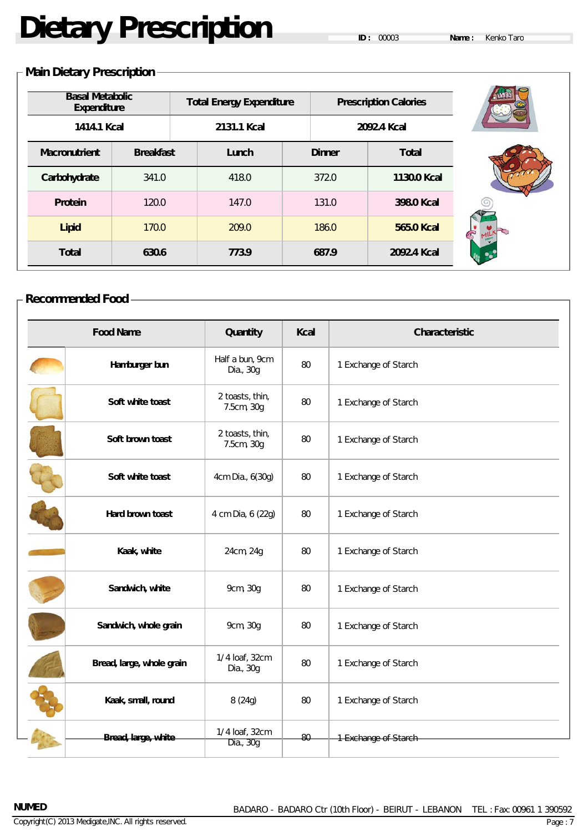# **Dietary Prescription**

## **Main Dietary Prescription**

| <b>Basal Metabolic</b><br><b>Expenditure</b><br>1414.1 Kcal |                  | <b>Total Energy Expenditure</b><br>2131.1 Kcal |               | <b>Prescription Calories</b><br>2092.4 Kcal |  |
|-------------------------------------------------------------|------------------|------------------------------------------------|---------------|---------------------------------------------|--|
| <b>Macronutrient</b>                                        | <b>Breakfast</b> | Lunch                                          | <b>Dinner</b> | <b>Total</b>                                |  |
| Carbohydrate                                                | 341.0            | 418.0                                          | 372.0         | 1130.0 Kcal                                 |  |
| <b>Protein</b>                                              | 120.0            | 147.0                                          | 131.0         | 398.0 Kcal                                  |  |
| <b>Lipid</b>                                                | 170.0            | 209.0                                          | 186.0         | 565.0 Kcal                                  |  |
| <b>Total</b>                                                | 630.6            | 773.9                                          | 687.9         | 2092.4 Kcal                                 |  |

| <b>Recommended Food</b> |  |
|-------------------------|--|
|-------------------------|--|

| <b>Food Name</b>          | Quantity                      | Kcal | Characteristic       |
|---------------------------|-------------------------------|------|----------------------|
| Hamburger bun             | Half a bun, 9cm<br>Dia., 30g  | 80   | 1 Exchange of Starch |
| Soft white toast          | 2 toasts, thin,<br>7.5cm, 30g | 80   | 1 Exchange of Starch |
| Soft brown toast          | 2 toasts, thin,<br>7.5cm, 30g | 80   | 1 Exchange of Starch |
| Soft white toast          | 4cm Dia., 6(30g)              | 80   | 1 Exchange of Starch |
| Hard brown toast          | 4 cm Dia, 6 (22g)             | 80   | 1 Exchange of Starch |
| Kaak, white               | 24cm, 24g                     | 80   | 1 Exchange of Starch |
| Sandwich, white           | 9cm, 30g                      | 80   | 1 Exchange of Starch |
| Sandwich, whole grain     | 9cm, 30g                      | 80   | 1 Exchange of Starch |
| Bread, large, whole grain | 1/4 loaf, 32cm<br>Dia., 30g   | 80   | 1 Exchange of Starch |
| Kaak, small, round        | 8(24g)                        | 80   | 1 Exchange of Starch |
| Bread, large, white       | 1/4 loaf, 32cm<br>Dia., 30g   | 80   | 1 Exchange of Starch |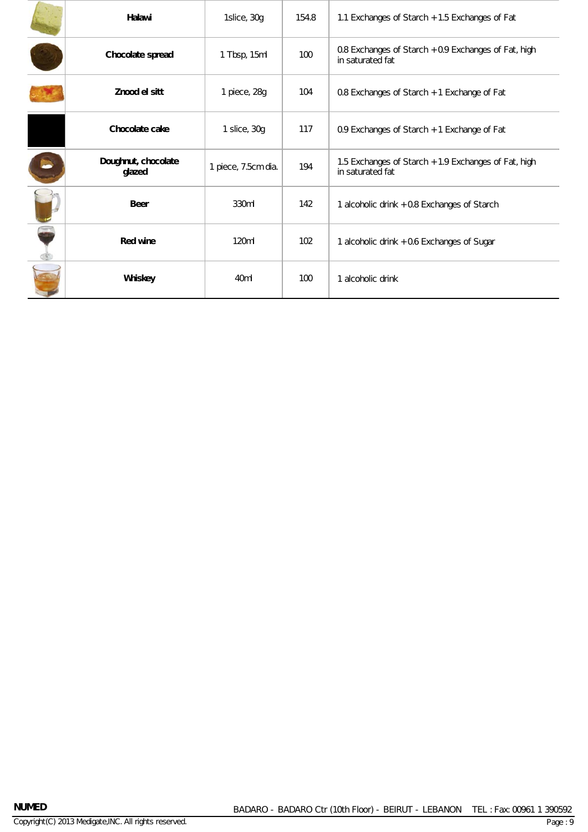| Halawi                        | 1slice, 30g         | 154.8 | 1.1 Exchanges of Starch + 1.5 Exchanges of Fat                           |
|-------------------------------|---------------------|-------|--------------------------------------------------------------------------|
| Chocolate spread              | 1 Tbsp, 15ml        | 100   | 0.8 Exchanges of Starch + 0.9 Exchanges of Fat, high<br>in saturated fat |
| Znood el sitt                 | 1 piece, 28g        | 104   | 0.8 Exchanges of Starch + 1 Exchange of Fat                              |
| Chocolate cake                | 1 slice, 30g        | 117   | 0.9 Exchanges of Starch + 1 Exchange of Fat                              |
| Doughnut, chocolate<br>glazed | 1 piece, 7.5cm dia. | 194   | 1.5 Exchanges of Starch + 1.9 Exchanges of Fat, high<br>in saturated fat |
| <b>Beer</b>                   | 330ml               | 142   | 1 alcoholic drink + 0.8 Exchanges of Starch                              |
| <b>Red wine</b>               | 120ml               | 102   | 1 alcoholic drink + 0.6 Exchanges of Sugar                               |
| Whiskey                       | 40 <sub>ml</sub>    | 100   | 1 alcoholic drink                                                        |